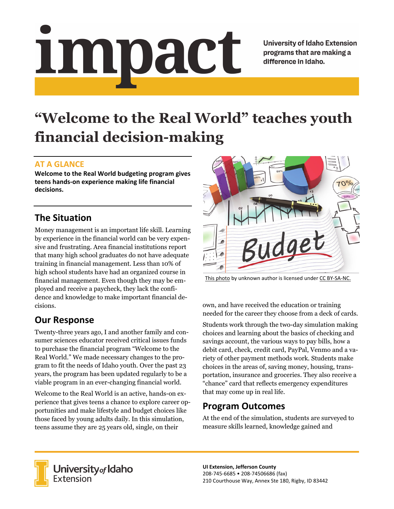# Impact

**University of Idaho Extension** programs that are making a difference in Idaho.

# **"Welcome to the Real World" teaches youth financial decision-making**

#### **AT A GLANCE**

**Welcome to the Real World budgeting program gives teens hands‐on experience making life financial decisions.**

# **The Situation**

Money management is an important life skill. Learning by experience in the financial world can be very expensive and frustrating. Area financial institutions report that many high school graduates do not have adequate training in financial management. Less than 10% of high school students have had an organized course in financial management. Even though they may be employed and receive a paycheck, they lack the confidence and knowledge to make important financial decisions.

# **Our Response**

Twenty-three years ago, I and another family and consumer sciences educator received critical issues funds to purchase the financial program "Welcome to the Real World." We made necessary changes to the program to fit the needs of Idaho youth. Over the past 23 years, the program has been updated regularly to be a viable program in an ever-changing financial world.

Welcome to the Real World is an active, hands-on experience that gives teens a chance to explore career opportunities and make lifestyle and budget choices like those faced by young adults daily. In this simulation, teens assume they are 25 years old, single, on their



This photo by unknown author is licensed under CC BY‐SA‐NC.

own, and have received the education or training needed for the career they choose from a deck of cards.

Students work through the two-day simulation making choices and learning about the basics of checking and savings account, the various ways to pay bills, how a debit card, check, credit card, PayPal, Venmo and a variety of other payment methods work. Students make choices in the areas of, saving money, housing, transportation, insurance and groceries. They also receive a "chance" card that reflects emergency expenditures that may come up in real life.

# **Program Outcomes**

At the end of the simulation, students are surveyed to measure skills learned, knowledge gained and



University<sub>of</sub> Idaho Extension